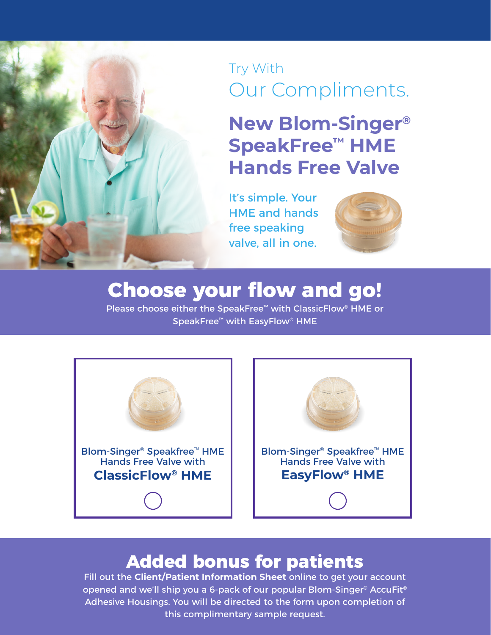#### Try With Our Compliments.

### **New Blom-Singer® SpeakFree™ HME Hands Free Valve**

It's simple. Your HME and hands free speaking valve, all in one.



# Choose your flow and go!<br>Please choose either the SpeakFree™ with ClassicFlow® HME or

SpeakFree<sup>™</sup> with EasyFlow® HME



## **Added bonus for patients**<br>Fill out the Client/Patient Information Sheet online to get your account

opened and we'll ship you a 6-pack of our popular Blom-Singer® AccuFit® Adhesive Housings. You will be directed to the form upon completion of this complimentary sample request.